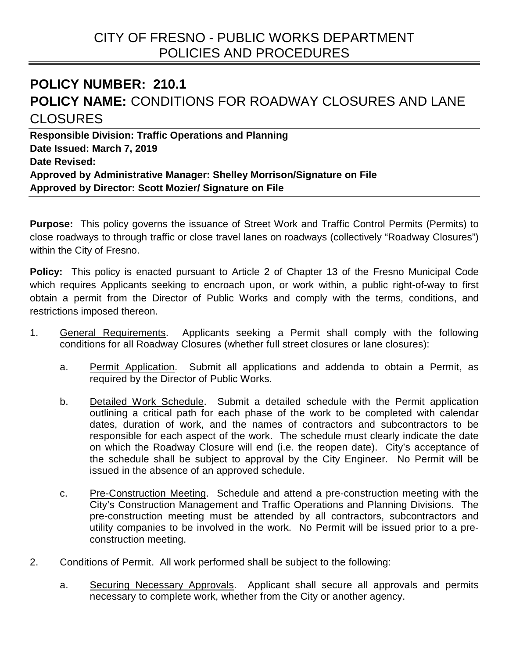## **POLICY NUMBER: 210.1 POLICY NAME:** CONDITIONS FOR ROADWAY CLOSURES AND LANE CLOSURES

**Responsible Division: Traffic Operations and Planning Date Issued: March 7, 2019 Date Revised: Approved by Administrative Manager: Shelley Morrison/Signature on File Approved by Director: Scott Mozier/ Signature on File**

**Purpose:** This policy governs the issuance of Street Work and Traffic Control Permits (Permits) to close roadways to through traffic or close travel lanes on roadways (collectively "Roadway Closures") within the City of Fresno.

**Policy:** This policy is enacted pursuant to Article 2 of Chapter 13 of the Fresno Municipal Code which requires Applicants seeking to encroach upon, or work within, a public right-of-way to first obtain a permit from the Director of Public Works and comply with the terms, conditions, and restrictions imposed thereon.

- 1. General Requirements. Applicants seeking a Permit shall comply with the following conditions for all Roadway Closures (whether full street closures or lane closures):
	- a. Permit Application. Submit all applications and addenda to obtain a Permit, as required by the Director of Public Works.
	- b. Detailed Work Schedule. Submit a detailed schedule with the Permit application outlining a critical path for each phase of the work to be completed with calendar dates, duration of work, and the names of contractors and subcontractors to be responsible for each aspect of the work. The schedule must clearly indicate the date on which the Roadway Closure will end (i.e. the reopen date). City's acceptance of the schedule shall be subject to approval by the City Engineer. No Permit will be issued in the absence of an approved schedule.
	- c. Pre-Construction Meeting. Schedule and attend a pre-construction meeting with the City's Construction Management and Traffic Operations and Planning Divisions. The pre-construction meeting must be attended by all contractors, subcontractors and utility companies to be involved in the work. No Permit will be issued prior to a preconstruction meeting.
- 2. Conditions of Permit. All work performed shall be subject to the following:
	- a. Securing Necessary Approvals. Applicant shall secure all approvals and permits necessary to complete work, whether from the City or another agency.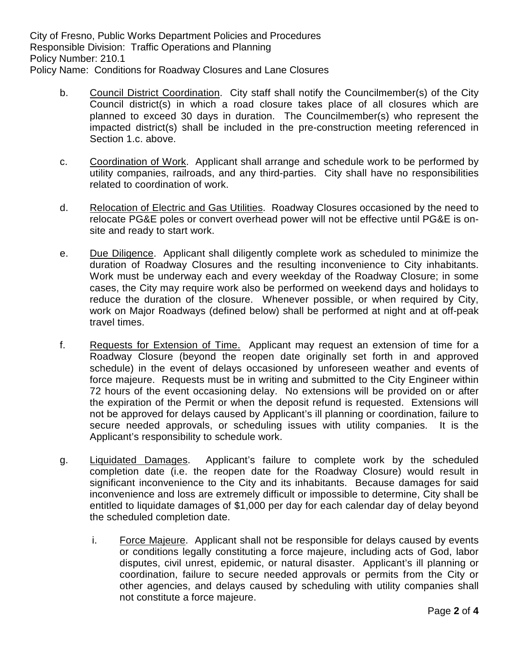City of Fresno, Public Works Department Policies and Procedures Responsible Division: Traffic Operations and Planning Policy Number: 210.1 Policy Name: Conditions for Roadway Closures and Lane Closures

- b. Council District Coordination. City staff shall notify the Councilmember(s) of the City Council district(s) in which a road closure takes place of all closures which are planned to exceed 30 days in duration. The Councilmember(s) who represent the impacted district(s) shall be included in the pre-construction meeting referenced in Section 1.c. above.
- c. Coordination of Work. Applicant shall arrange and schedule work to be performed by utility companies, railroads, and any third-parties. City shall have no responsibilities related to coordination of work.
- d. Relocation of Electric and Gas Utilities. Roadway Closures occasioned by the need to relocate PG&E poles or convert overhead power will not be effective until PG&E is onsite and ready to start work.
- e. Due Diligence. Applicant shall diligently complete work as scheduled to minimize the duration of Roadway Closures and the resulting inconvenience to City inhabitants. Work must be underway each and every weekday of the Roadway Closure; in some cases, the City may require work also be performed on weekend days and holidays to reduce the duration of the closure. Whenever possible, or when required by City, work on Major Roadways (defined below) shall be performed at night and at off-peak travel times.
- f. Requests for Extension of Time. Applicant may request an extension of time for a Roadway Closure (beyond the reopen date originally set forth in and approved schedule) in the event of delays occasioned by unforeseen weather and events of force majeure. Requests must be in writing and submitted to the City Engineer within 72 hours of the event occasioning delay. No extensions will be provided on or after the expiration of the Permit or when the deposit refund is requested. Extensions will not be approved for delays caused by Applicant's ill planning or coordination, failure to secure needed approvals, or scheduling issues with utility companies. It is the Applicant's responsibility to schedule work.
- g. Liquidated Damages. Applicant's failure to complete work by the scheduled completion date (i.e. the reopen date for the Roadway Closure) would result in significant inconvenience to the City and its inhabitants. Because damages for said inconvenience and loss are extremely difficult or impossible to determine, City shall be entitled to liquidate damages of \$1,000 per day for each calendar day of delay beyond the scheduled completion date.
	- i. Force Majeure. Applicant shall not be responsible for delays caused by events or conditions legally constituting a force majeure, including acts of God, labor disputes, civil unrest, epidemic, or natural disaster. Applicant's ill planning or coordination, failure to secure needed approvals or permits from the City or other agencies, and delays caused by scheduling with utility companies shall not constitute a force majeure.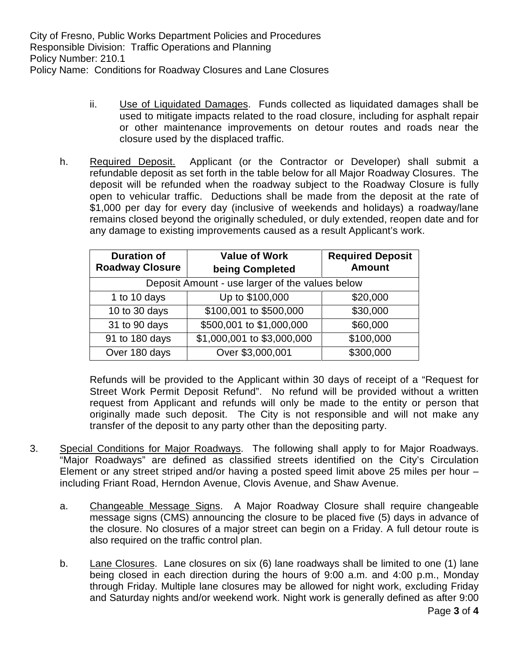City of Fresno, Public Works Department Policies and Procedures Responsible Division: Traffic Operations and Planning Policy Number: 210.1 Policy Name: Conditions for Roadway Closures and Lane Closures

- ii. Use of Liquidated Damages. Funds collected as liquidated damages shall be used to mitigate impacts related to the road closure, including for asphalt repair or other maintenance improvements on detour routes and roads near the closure used by the displaced traffic.
- h. Required Deposit. Applicant (or the Contractor or Developer) shall submit a refundable deposit as set forth in the table below for all Major Roadway Closures. The deposit will be refunded when the roadway subject to the Roadway Closure is fully open to vehicular traffic. Deductions shall be made from the deposit at the rate of \$1,000 per day for every day (inclusive of weekends and holidays) a roadway/lane remains closed beyond the originally scheduled, or duly extended, reopen date and for any damage to existing improvements caused as a result Applicant's work.

| <b>Duration of</b>                              | <b>Value of Work</b>       | <b>Required Deposit</b> |
|-------------------------------------------------|----------------------------|-------------------------|
| <b>Roadway Closure</b>                          | being Completed            | <b>Amount</b>           |
| Deposit Amount - use larger of the values below |                            |                         |
| 1 to 10 days                                    | Up to \$100,000            | \$20,000                |
| 10 to 30 days                                   | \$100,001 to \$500,000     | \$30,000                |
| 31 to 90 days                                   | \$500,001 to \$1,000,000   | \$60,000                |
| 91 to 180 days                                  | \$1,000,001 to \$3,000,000 | \$100,000               |
| Over 180 days                                   | Over \$3,000,001           | \$300,000               |

Refunds will be provided to the Applicant within 30 days of receipt of a "Request for Street Work Permit Deposit Refund". No refund will be provided without a written request from Applicant and refunds will only be made to the entity or person that originally made such deposit. The City is not responsible and will not make any transfer of the deposit to any party other than the depositing party.

- 3. Special Conditions for Major Roadways. The following shall apply to for Major Roadways. "Major Roadways" are defined as classified streets identified on the City's Circulation Element or any street striped and/or having a posted speed limit above 25 miles per hour – including Friant Road, Herndon Avenue, Clovis Avenue, and Shaw Avenue.
	- a. Changeable Message Signs. A Major Roadway Closure shall require changeable message signs (CMS) announcing the closure to be placed five (5) days in advance of the closure. No closures of a major street can begin on a Friday. A full detour route is also required on the traffic control plan.
	- b. Lane Closures. Lane closures on six (6) lane roadways shall be limited to one (1) lane being closed in each direction during the hours of 9:00 a.m. and 4:00 p.m., Monday through Friday. Multiple lane closures may be allowed for night work, excluding Friday and Saturday nights and/or weekend work. Night work is generally defined as after 9:00